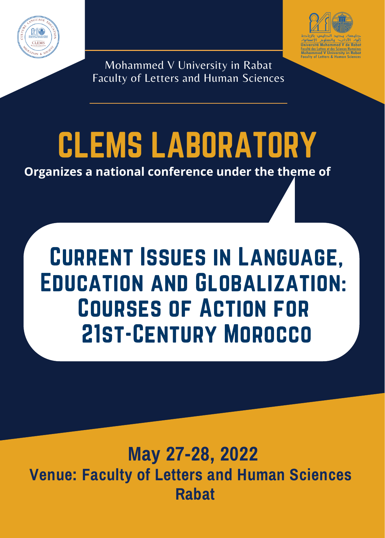



Mohammed V University in Rabat Faculty of Letters and Human Sciences

# CLEMS LABORATORY

**Organizes a national conference under the theme of**

# Current Issues in Language, Education and Globalization: Courses of Action for 21st-Century Morocco

# **May 27-28, 2022 Venue: Faculty of Letters and Human Sciences Rabat**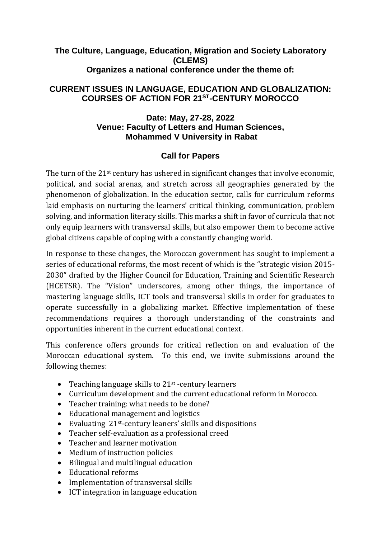# **The Culture, Language, Education, Migration and Society Laboratory (CLEMS) Organizes a national conference under the theme of:**

# **CURRENT ISSUES IN LANGUAGE, EDUCATION AND GLOBALIZATION: COURSES OF ACTION FOR 21ST -CENTURY MOROCCO**

# **Date: May, 27-28, 2022 Venue: Faculty of Letters and Human Sciences, Mohammed V University in Rabat**

# **Call for Papers**

The turn of the 21<sup>st</sup> century has ushered in significant changes that involve economic, political, and social arenas, and stretch across all geographies generated by the phenomenon of globalization. In the education sector, calls for curriculum reforms laid emphasis on nurturing the learners' critical thinking, communication, problem solving, and information literacy skills. This marks a shift in favor of curricula that not only equip learners with transversal skills, but also empower them to become active global citizens capable of coping with a constantly changing world.

In response to these changes, the Moroccan government has sought to implement a series of educational reforms, the most recent of which is the "strategic vision 2015- 2030" drafted by the Higher Council for Education, Training and Scientific Research (HCETSR). The "Vision" underscores, among other things, the importance of mastering language skills, ICT tools and transversal skills in order for graduates to operate successfully in a globalizing market. Effective implementation of these recommendations requires a thorough understanding of the constraints and opportunities inherent in the current educational context.

This conference offers grounds for critical reflection on and evaluation of the Moroccan educational system. To this end, we invite submissions around the following themes:

- Teaching language skills to  $21<sup>st</sup>$  -century learners
- Curriculum development and the current educational reform in Morocco.
- Teacher training: what needs to be done?
- Educational management and logistics
- Evaluating 21st-century leaners' skills and dispositions
- Teacher self-evaluation as a professional creed
- Teacher and learner motivation
- Medium of instruction policies
- Bilingual and multilingual education
- Educational reforms
- Implementation of transversal skills
- ICT integration in language education